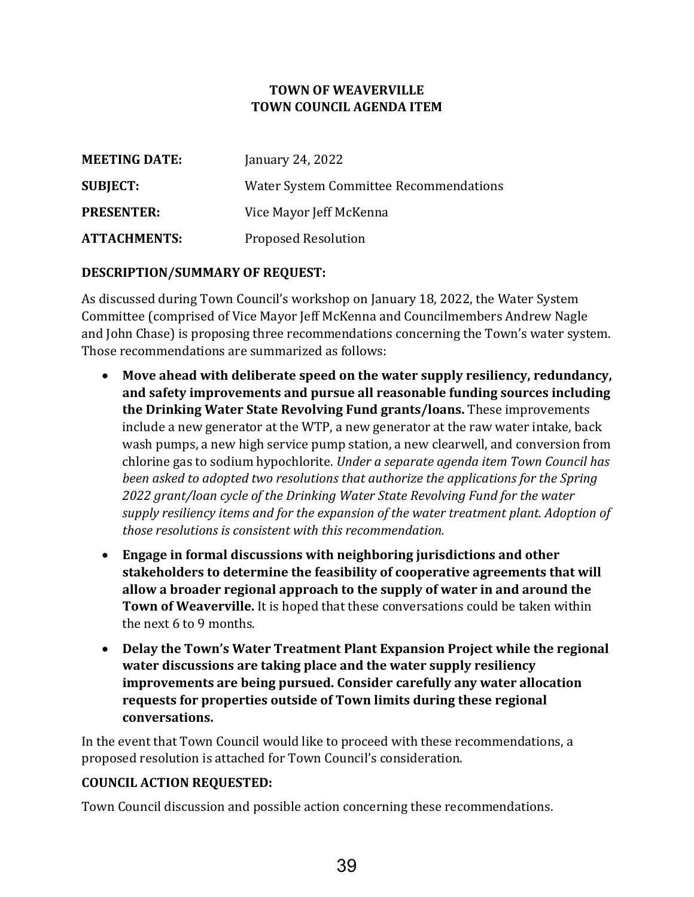# **TOWN OF WEAVERVILLE TOWN COUNCIL AGENDA ITEM**

| <b>MEETING DATE:</b> | January 24, 2022                       |
|----------------------|----------------------------------------|
| <b>SUBJECT:</b>      | Water System Committee Recommendations |
| <b>PRESENTER:</b>    | Vice Mayor Jeff McKenna                |
| <b>ATTACHMENTS:</b>  | <b>Proposed Resolution</b>             |

# **DESCRIPTION/SUMMARY OF REQUEST:**

As discussed during Town Council's workshop on January 18, 2022, the Water System Committee (comprised of Vice Mayor Jeff McKenna and Councilmembers Andrew Nagle and John Chase) is proposing three recommendations concerning the Town's water system. Those recommendations are summarized as follows:

- **Move ahead with deliberate speed on the water supply resiliency, redundancy, and safety improvements and pursue all reasonable funding sources including the Drinking Water State Revolving Fund grants/loans.** These improvements include a new generator at the WTP, a new generator at the raw water intake, back wash pumps, a new high service pump station, a new clearwell, and conversion from chlorine gas to sodium hypochlorite. *Under a separate agenda item Town Council has been asked to adopted two resolutions that authorize the applications for the Spring 2022 grant/loan cycle of the Drinking Water State Revolving Fund for the water supply resiliency items and for the expansion of the water treatment plant. Adoption of those resolutions is consistent with this recommendation.*
- **Engage in formal discussions with neighboring jurisdictions and other stakeholders to determine the feasibility of cooperative agreements that will allow a broader regional approach to the supply of water in and around the Town of Weaverville.** It is hoped that these conversations could be taken within the next 6 to 9 months.
- **Delay the Town's Water Treatment Plant Expansion Project while the regional water discussions are taking place and the water supply resiliency improvements are being pursued. Consider carefully any water allocation requests for properties outside of Town limits during these regional conversations.**

In the event that Town Council would like to proceed with these recommendations, a proposed resolution is attached for Town Council's consideration.

#### **COUNCIL ACTION REQUESTED:**

Town Council discussion and possible action concerning these recommendations.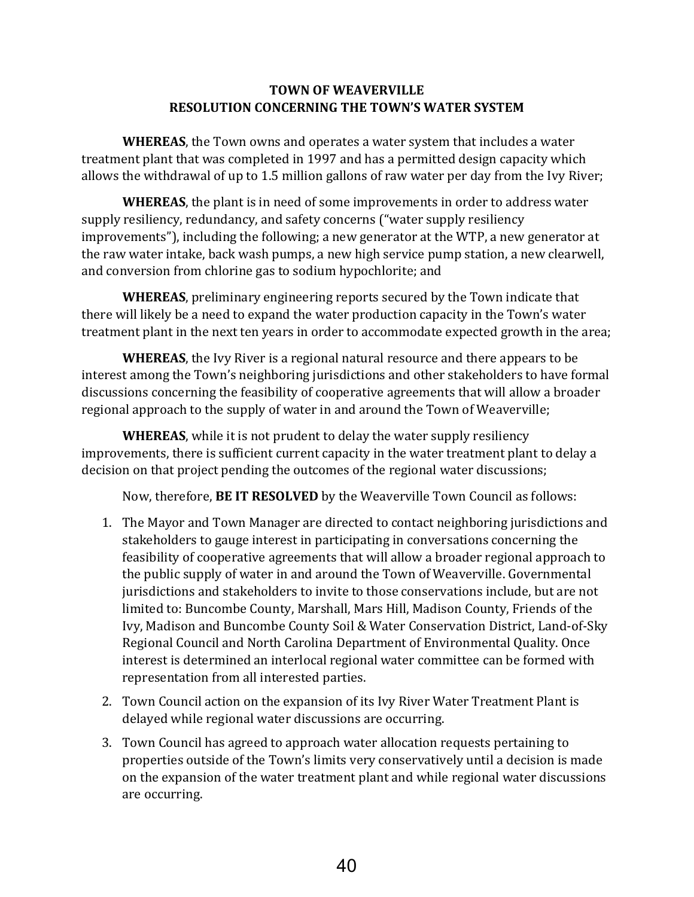### **TOWN OF WEAVERVILLE RESOLUTION CONCERNING THE TOWN'S WATER SYSTEM**

**WHEREAS**, the Town owns and operates a water system that includes a water treatment plant that was completed in 1997 and has a permitted design capacity which allows the withdrawal of up to 1.5 million gallons of raw water per day from the Ivy River;

**WHEREAS**, the plant is in need of some improvements in order to address water supply resiliency, redundancy, and safety concerns ("water supply resiliency improvements"), including the following; a new generator at the WTP, a new generator at the raw water intake, back wash pumps, a new high service pump station, a new clearwell, and conversion from chlorine gas to sodium hypochlorite; and

**WHEREAS**, preliminary engineering reports secured by the Town indicate that there will likely be a need to expand the water production capacity in the Town's water treatment plant in the next ten years in order to accommodate expected growth in the area;

**WHEREAS**, the Ivy River is a regional natural resource and there appears to be interest among the Town's neighboring jurisdictions and other stakeholders to have formal discussions concerning the feasibility of cooperative agreements that will allow a broader regional approach to the supply of water in and around the Town of Weaverville;

**WHEREAS**, while it is not prudent to delay the water supply resiliency improvements, there is sufficient current capacity in the water treatment plant to delay a decision on that project pending the outcomes of the regional water discussions;

Now, therefore, **BE IT RESOLVED** by the Weaverville Town Council as follows:

- 1. The Mayor and Town Manager are directed to contact neighboring jurisdictions and stakeholders to gauge interest in participating in conversations concerning the feasibility of cooperative agreements that will allow a broader regional approach to the public supply of water in and around the Town of Weaverville. Governmental jurisdictions and stakeholders to invite to those conservations include, but are not limited to: Buncombe County, Marshall, Mars Hill, Madison County, Friends of the Ivy, Madison and Buncombe County Soil & Water Conservation District, Land-of-Sky Regional Council and North Carolina Department of Environmental Quality. Once interest is determined an interlocal regional water committee can be formed with representation from all interested parties.
- 2. Town Council action on the expansion of its Ivy River Water Treatment Plant is delayed while regional water discussions are occurring.
- 3. Town Council has agreed to approach water allocation requests pertaining to properties outside of the Town's limits very conservatively until a decision is made on the expansion of the water treatment plant and while regional water discussions are occurring.